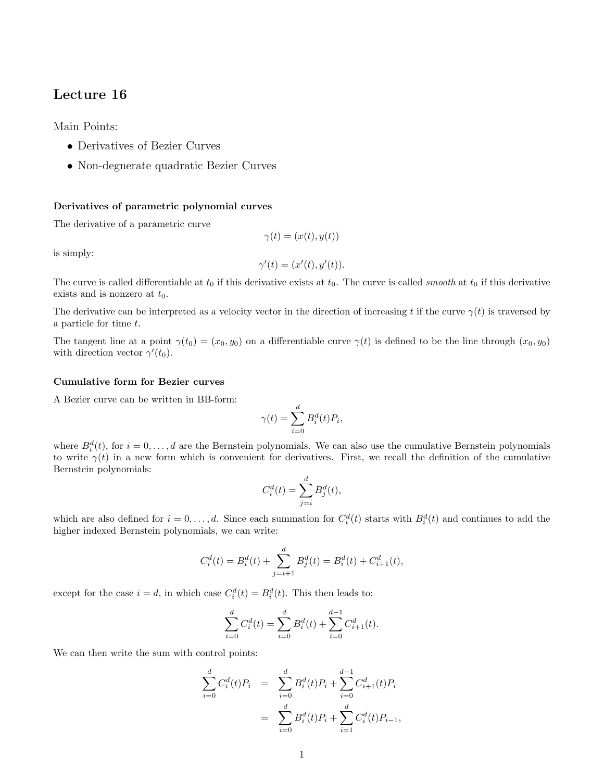# Lecture 16

Main Points:

- Derivatives of Bezier Curves
- Non-degnerate quadratic Bezier Curves

### Derivatives of parametric polynomial curves

The derivative of a parametric curve

$$
\gamma(t) = (x(t), y(t))
$$

is simply:

$$
\gamma'(t) = (x'(t), y'(t)).
$$

The curve is called differentiable at  $t_0$  if this derivative exists at  $t_0$ . The curve is called *smooth* at  $t_0$  if this derivative exists and is nonzero at  $t_0$ .

The derivative can be interpreted as a velocity vector in the direction of increasing t if the curve  $\gamma(t)$  is traversed by a particle for time t.

The tangent line at a point  $\gamma(t_0) = (x_0, y_0)$  on a differentiable curve  $\gamma(t)$  is defined to be the line through  $(x_0, y_0)$ with direction vector  $\gamma'(t_0)$ .

#### Cumulative form for Bezier curves

A Bezier curve can be written in BB-form:

$$
\gamma(t) = \sum_{i=0}^d B_i^d(t) P_i,
$$

where  $B_i^d(t)$ , for  $i = 0, \ldots, d$  are the Bernstein polynomials. We can also use the cumulative Bernstein polynomials to write  $\gamma(t)$  in a new form which is convenient for derivatives. First, we recall the definition of the cumulative Bernstein polynomials:

$$
C_i^d(t) = \sum_{j=i}^d B_j^d(t),
$$

which are also defined for  $i = 0, \ldots, d$ . Since each summation for  $C_i^d(t)$  starts with  $B_i^d(t)$  and continues to add the higher indexed Bernstein polynomials, we can write:

$$
C_i^d(t) = B_i^d(t) + \sum_{j=i+1}^d B_j^d(t) = B_i^d(t) + C_{i+1}^d(t),
$$

except for the case  $i = d$ , in which case  $C_i^d(t) = B_i^d(t)$ . This then leads to:

$$
\sum_{i=0}^{d} C_i^d(t) = \sum_{i=0}^{d} B_i^d(t) + \sum_{i=0}^{d-1} C_{i+1}^d(t).
$$

We can then write the sum with control points:

$$
\sum_{i=0}^{d} C_i^d(t) P_i = \sum_{i=0}^{d} B_i^d(t) P_i + \sum_{i=0}^{d-1} C_{i+1}^d(t) P_i
$$

$$
= \sum_{i=0}^{d} B_i^d(t) P_i + \sum_{i=1}^{d} C_i^d(t) P_{i-1},
$$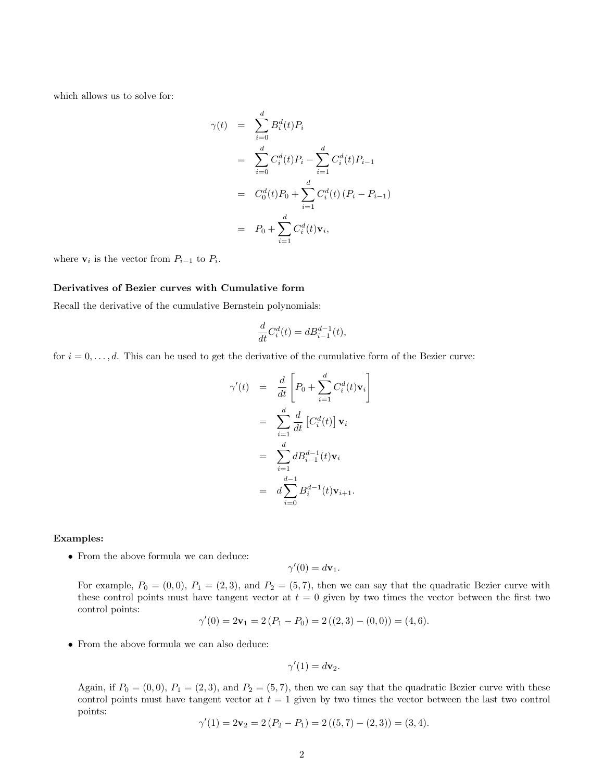which allows us to solve for:

$$
\gamma(t) = \sum_{i=0}^{d} B_i^d(t) P_i
$$
  
\n
$$
= \sum_{i=0}^{d} C_i^d(t) P_i - \sum_{i=1}^{d} C_i^d(t) P_{i-1}
$$
  
\n
$$
= C_0^d(t) P_0 + \sum_{i=1}^{d} C_i^d(t) (P_i - P_{i-1})
$$
  
\n
$$
= P_0 + \sum_{i=1}^{d} C_i^d(t) \mathbf{v}_i,
$$

where  $v_i$  is the vector from  $P_{i-1}$  to  $P_i$ .

## Derivatives of Bezier curves with Cumulative form

Recall the derivative of the cumulative Bernstein polynomials:

$$
\frac{d}{dt}C_i^d(t) = dB_{i-1}^{d-1}(t),
$$

for  $i = 0, \ldots, d$ . This can be used to get the derivative of the cumulative form of the Bezier curve:

$$
\gamma'(t) = \frac{d}{dt} \left[ P_0 + \sum_{i=1}^d C_i^d(t) \mathbf{v}_i \right]
$$

$$
= \sum_{i=1}^d \frac{d}{dt} \left[ C_i^d(t) \right] \mathbf{v}_i
$$

$$
= \sum_{i=1}^d dB_{i-1}^{d-1}(t) \mathbf{v}_i
$$

$$
= d \sum_{i=0}^{d-1} B_i^{d-1}(t) \mathbf{v}_{i+1}.
$$

### Examples:

• From the above formula we can deduce:

$$
\gamma'(0) = d\mathbf{v}_1.
$$

For example,  $P_0 = (0, 0)$ ,  $P_1 = (2, 3)$ , and  $P_2 = (5, 7)$ , then we can say that the quadratic Bezier curve with these control points must have tangent vector at  $t = 0$  given by two times the vector between the first two control points:

$$
\gamma'(0) = 2\mathbf{v}_1 = 2(P_1 - P_0) = 2((2,3) - (0,0)) = (4,6).
$$

• From the above formula we can also deduce:

$$
\gamma'(1) = d\mathbf{v}_2.
$$

Again, if  $P_0 = (0, 0)$ ,  $P_1 = (2, 3)$ , and  $P_2 = (5, 7)$ , then we can say that the quadratic Bezier curve with these control points must have tangent vector at  $t = 1$  given by two times the vector between the last two control points:

$$
\gamma'(1) = 2\mathbf{v}_2 = 2(P_2 - P_1) = 2((5, 7) - (2, 3)) = (3, 4).
$$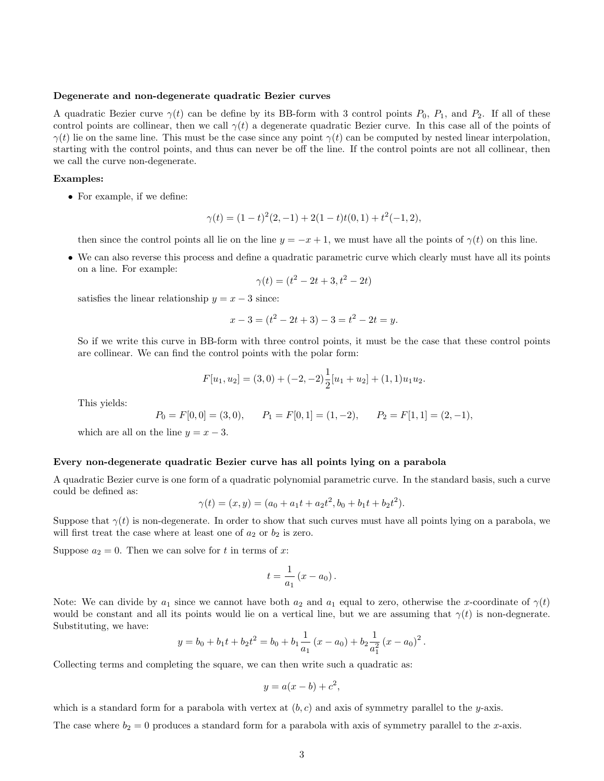### Degenerate and non-degenerate quadratic Bezier curves

A quadratic Bezier curve  $\gamma(t)$  can be define by its BB-form with 3 control points  $P_0$ ,  $P_1$ , and  $P_2$ . If all of these control points are collinear, then we call  $\gamma(t)$  a degenerate quadratic Bezier curve. In this case all of the points of  $\gamma(t)$  lie on the same line. This must be the case since any point  $\gamma(t)$  can be computed by nested linear interpolation, starting with the control points, and thus can never be off the line. If the control points are not all collinear, then we call the curve non-degenerate.

## Examples:

• For example, if we define:

$$
\gamma(t) = (1-t)^2(2,-1) + 2(1-t)t(0,1) + t^2(-1,2),
$$

then since the control points all lie on the line  $y = -x + 1$ , we must have all the points of  $\gamma(t)$  on this line.

• We can also reverse this process and define a quadratic parametric curve which clearly must have all its points on a line. For example:

$$
\gamma(t) = (t^2 - 2t + 3, t^2 - 2t)
$$

satisfies the linear relationship  $y = x - 3$  since:

$$
x - 3 = (t2 - 2t + 3) - 3 = t2 - 2t = y.
$$

So if we write this curve in BB-form with three control points, it must be the case that these control points are collinear. We can find the control points with the polar form:

$$
F[u_1, u_2] = (3, 0) + (-2, -2)\frac{1}{2}[u_1 + u_2] + (1, 1)u_1u_2.
$$

This yields:

$$
P_0 = F[0,0] = (3,0),
$$
  $P_1 = F[0,1] = (1,-2),$   $P_2 = F[1,1] = (2,-1),$ 

which are all on the line  $y = x - 3$ .

# Every non-degenerate quadratic Bezier curve has all points lying on a parabola

A quadratic Bezier curve is one form of a quadratic polynomial parametric curve. In the standard basis, such a curve could be defined as:

$$
\gamma(t) = (x, y) = (a_0 + a_1t + a_2t^2, b_0 + b_1t + b_2t^2).
$$

Suppose that  $\gamma(t)$  is non-degenerate. In order to show that such curves must have all points lying on a parabola, we will first treat the case where at least one of  $a_2$  or  $b_2$  is zero.

Suppose  $a_2 = 0$ . Then we can solve for t in terms of x:

$$
t=\frac{1}{a_1}\left(x-a_0\right).
$$

Note: We can divide by  $a_1$  since we cannot have both  $a_2$  and  $a_1$  equal to zero, otherwise the x-coordinate of  $\gamma(t)$ would be constant and all its points would lie on a vertical line, but we are assuming that  $\gamma(t)$  is non-degnerate. Substituting, we have:

$$
y = b_0 + b_1 t + b_2 t^2 = b_0 + b_1 \frac{1}{a_1} (x - a_0) + b_2 \frac{1}{a_1^2} (x - a_0)^2
$$
.

Collecting terms and completing the square, we can then write such a quadratic as:

$$
y = a(x - b) + c^2,
$$

which is a standard form for a parabola with vertex at  $(b, c)$  and axis of symmetry parallel to the y-axis.

The case where  $b_2 = 0$  produces a standard form for a parabola with axis of symmetry parallel to the x-axis.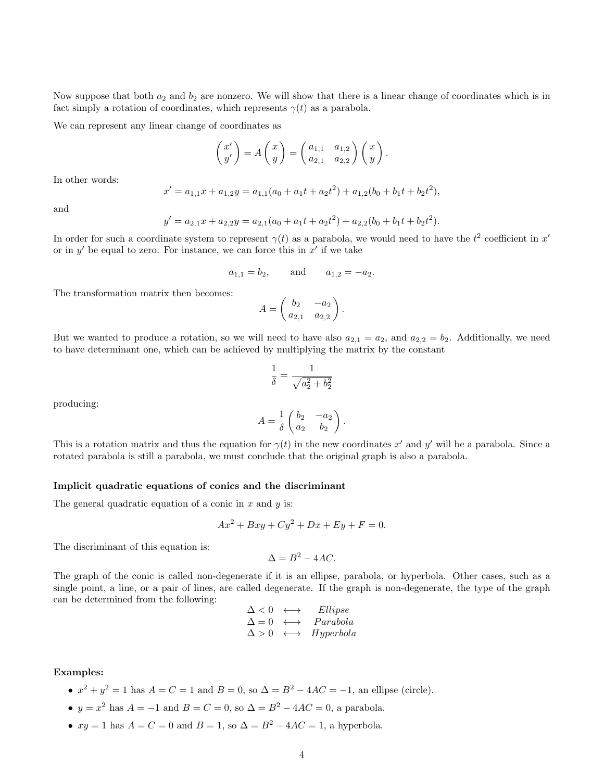Now suppose that both  $a_2$  and  $b_2$  are nonzero. We will show that there is a linear change of coordinates which is in fact simply a rotation of coordinates, which represents  $\gamma(t)$  as a parabola.

We can represent any linear change of coordinates as

$$
\begin{pmatrix} x' \\ y' \end{pmatrix} = A \begin{pmatrix} x \\ y \end{pmatrix} = \begin{pmatrix} a_{1,1} & a_{1,2} \\ a_{2,1} & a_{2,2} \end{pmatrix} \begin{pmatrix} x \\ y \end{pmatrix}.
$$

In other words:

$$
x' = a_{1,1}x + a_{1,2}y = a_{1,1}(a_0 + a_1t + a_2t^2) + a_{1,2}(b_0 + b_1t + b_2t^2),
$$

and

$$
y' = a_{2,1}x + a_{2,2}y = a_{2,1}(a_0 + a_1t + a_2t^2) + a_{2,2}(b_0 + b_1t + b_2t^2).
$$

In order for such a coordinate system to represent  $\gamma(t)$  as a parabola, we would need to have the  $t^2$  coefficient in  $x'$ or in  $y'$  be equal to zero. For instance, we can force this in  $x'$  if we take

$$
a_{1,1} = b_2
$$
, and  $a_{1,2} = -a_2$ .

The transformation matrix then becomes:

$$
A = \begin{pmatrix} b_2 & -a_2 \\ a_{2,1} & a_{2,2} \end{pmatrix}.
$$

But we wanted to produce a rotation, so we will need to have also  $a_{2,1} = a_2$ , and  $a_{2,2} = b_2$ . Additionally, we need to have determinant one, which can be achieved by multiplying the matrix by the constant

$$
\frac{1}{\delta}=\frac{1}{\sqrt{a_2^2+b_2^2}}
$$

producing:

$$
A = \frac{1}{\delta} \begin{pmatrix} b_2 & -a_2 \\ a_2 & b_2 \end{pmatrix}.
$$

This is a rotation matrix and thus the equation for  $\gamma(t)$  in the new coordinates x' and y' will be a parabola. Since a rotated parabola is still a parabola, we must conclude that the original graph is also a parabola.

### Implicit quadratic equations of conics and the discriminant

The general quadratic equation of a conic in  $x$  and  $y$  is:

$$
Ax^2 + Bxy + Cy^2 + Dx + Ey + F = 0.
$$

The discriminant of this equation is:

$$
\Delta = B^2 - 4AC.
$$

The graph of the conic is called non-degenerate if it is an ellipse, parabola, or hyperbola. Other cases, such as a single point, a line, or a pair of lines, are called degenerate. If the graph is non-degenerate, the type of the graph can be determined from the following:

$$
\Delta < 0 \leftrightarrow Ellipse\n\Delta = 0 \leftrightarrow Parabola\n\Delta > 0 \leftrightarrow Hyperbola
$$

# Examples:

- $x^2 + y^2 = 1$  has  $A = C = 1$  and  $B = 0$ , so  $\Delta = B^2 4AC = -1$ , an ellipse (circle).
- $y = x^2$  has  $A = -1$  and  $B = C = 0$ , so  $\Delta = B^2 4AC = 0$ , a parabola.
- $xy = 1$  has  $A = C = 0$  and  $B = 1$ , so  $\Delta = B^2 4AC = 1$ , a hyperbola.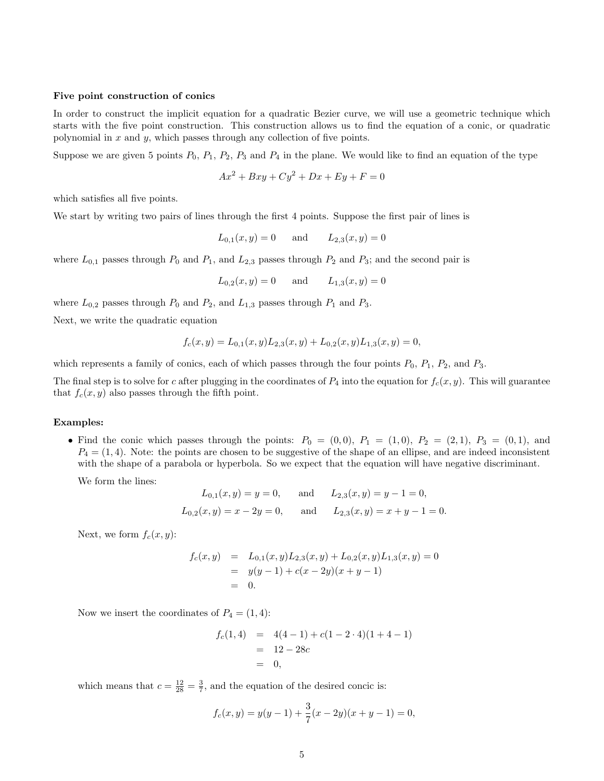### Five point construction of conics

In order to construct the implicit equation for a quadratic Bezier curve, we will use a geometric technique which starts with the five point construction. This construction allows us to find the equation of a conic, or quadratic polynomial in  $x$  and  $y$ , which passes through any collection of five points.

Suppose we are given 5 points  $P_0$ ,  $P_1$ ,  $P_2$ ,  $P_3$  and  $P_4$  in the plane. We would like to find an equation of the type

$$
Ax2 + Bxy + Cy2 + Dx + Ey + F = 0
$$

which satisfies all five points.

We start by writing two pairs of lines through the first 4 points. Suppose the first pair of lines is

$$
L_{0,1}(x, y) = 0
$$
 and  $L_{2,3}(x, y) = 0$ 

where  $L_{0,1}$  passes through  $P_0$  and  $P_1$ , and  $L_{2,3}$  passes through  $P_2$  and  $P_3$ ; and the second pair is

$$
L_{0,2}(x,y) = 0
$$
 and  $L_{1,3}(x,y) = 0$ 

where  $L_{0,2}$  passes through  $P_0$  and  $P_2$ , and  $L_{1,3}$  passes through  $P_1$  and  $P_3$ .

Next, we write the quadratic equation

$$
f_c(x,y) = L_{0,1}(x,y)L_{2,3}(x,y) + L_{0,2}(x,y)L_{1,3}(x,y) = 0,
$$

which represents a family of conics, each of which passes through the four points  $P_0$ ,  $P_1$ ,  $P_2$ , and  $P_3$ .

The final step is to solve for c after plugging in the coordinates of  $P_4$  into the equation for  $f_c(x, y)$ . This will guarantee that  $f_c(x, y)$  also passes through the fifth point.

### Examples:

• Find the conic which passes through the points:  $P_0 = (0,0), P_1 = (1,0), P_2 = (2,1), P_3 = (0,1),$  and  $P_4 = (1, 4)$ . Note: the points are chosen to be suggestive of the shape of an ellipse, and are indeed inconsistent with the shape of a parabola or hyperbola. So we expect that the equation will have negative discriminant.

We form the lines:

$$
L_{0,1}(x, y) = y = 0
$$
, and  $L_{2,3}(x, y) = y - 1 = 0$ ,  
\n $L_{0,2}(x, y) = x - 2y = 0$ , and  $L_{2,3}(x, y) = x + y - 1 = 0$ .

Next, we form  $f_c(x, y)$ :

$$
f_c(x,y) = L_{0,1}(x,y)L_{2,3}(x,y) + L_{0,2}(x,y)L_{1,3}(x,y) = 0
$$
  
=  $y(y-1) + c(x-2y)(x+y-1)$   
= 0.

Now we insert the coordinates of  $P_4 = (1, 4)$ :

$$
f_c(1,4) = 4(4-1) + c(1-2 \cdot 4)(1+4-1)
$$
  
= 12-28c  
= 0,

which means that  $c = \frac{12}{28} = \frac{3}{7}$ , and the equation of the desired concic is:

$$
f_c(x,y) = y(y-1) + \frac{3}{7}(x-2y)(x+y-1) = 0,
$$